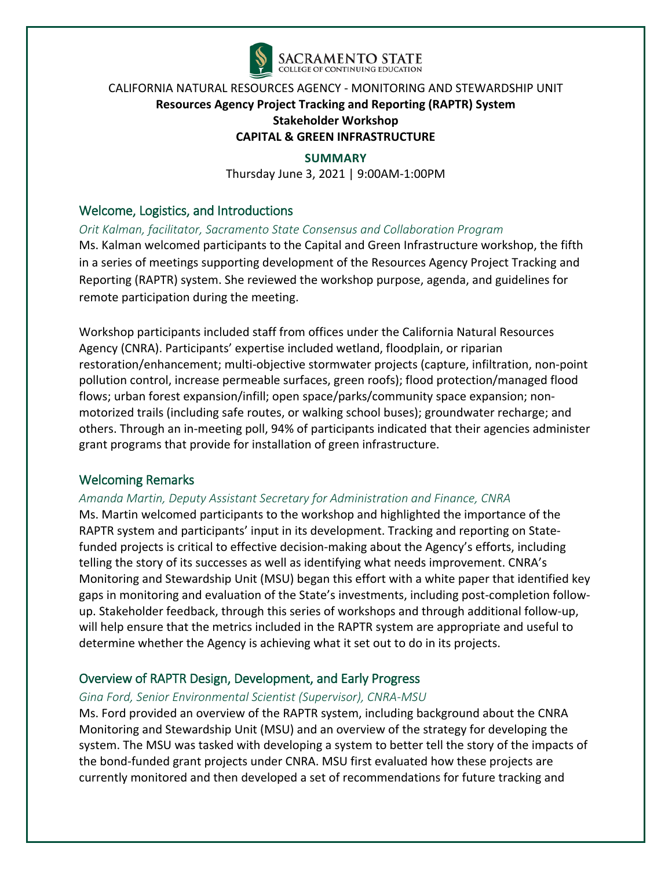

#### **SUMMARY**

Thursday June 3, 2021 | 9:00AM-1:00PM

## Welcome, Logistics, and Introductions

*Orit Kalman, facilitator, Sacramento State Consensus and Collaboration Program*

Ms. Kalman welcomed participants to the Capital and Green Infrastructure workshop, the fifth in a series of meetings supporting development of the Resources Agency Project Tracking and Reporting (RAPTR) system. She reviewed the workshop purpose, agenda, and guidelines for remote participation during the meeting.

Workshop participants included staff from offices under the California Natural Resources Agency (CNRA). Participants' expertise included wetland, floodplain, or riparian restoration/enhancement; multi-objective stormwater projects (capture, infiltration, non-point pollution control, increase permeable surfaces, green roofs); flood protection/managed flood flows; urban forest expansion/infill; open space/parks/community space expansion; nonmotorized trails (including safe routes, or walking school buses); groundwater recharge; and others. Through an in-meeting poll, 94% of participants indicated that their agencies administer grant programs that provide for installation of green infrastructure.

## Welcoming Remarks

#### *Amanda Martin, Deputy Assistant Secretary for Administration and Finance, CNRA*

Ms. Martin welcomed participants to the workshop and highlighted the importance of the RAPTR system and participants' input in its development. Tracking and reporting on Statefunded projects is critical to effective decision-making about the Agency's efforts, including telling the story of its successes as well as identifying what needs improvement. CNRA's Monitoring and Stewardship Unit (MSU) began this effort with a white paper that identified key gaps in monitoring and evaluation of the State's investments, including post-completion followup. Stakeholder feedback, through this series of workshops and through additional follow-up, will help ensure that the metrics included in the RAPTR system are appropriate and useful to determine whether the Agency is achieving what it set out to do in its projects.

## Overview of RAPTR Design, Development, and Early Progress

#### *Gina Ford, Senior Environmental Scientist (Supervisor), CNRA-MSU*

Ms. Ford provided an overview of the RAPTR system, including background about the CNRA Monitoring and Stewardship Unit (MSU) and an overview of the strategy for developing the system. The MSU was tasked with developing a system to better tell the story of the impacts of the bond-funded grant projects under CNRA. MSU first evaluated how these projects are currently monitored and then developed a set of recommendations for future tracking and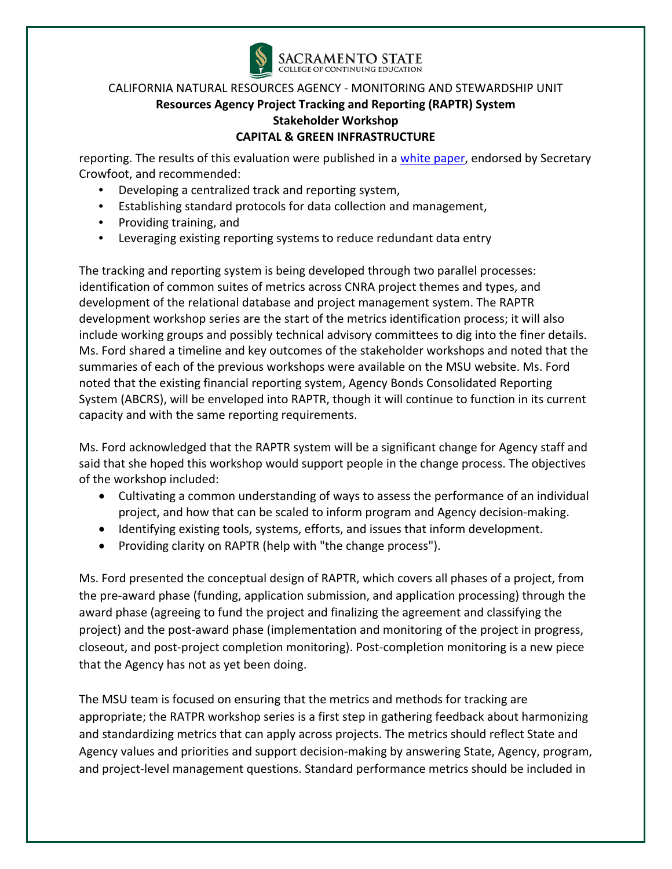

reporting. The results of this evaluation were published in a [white paper,](https://resources.ca.gov/-/media/CNRA-Website/Files/Initiatives/MSU/White-Paper-and-Letter-Final.pdf?la=en&hash=436606549B56DBCA9A0CBA25D175A0844E9EAF4F) endorsed by Secretary Crowfoot, and recommended:

- Developing a centralized track and reporting system,
- Establishing standard protocols for data collection and management,
- Providing training, and
- Leveraging existing reporting systems to reduce redundant data entry

The tracking and reporting system is being developed through two parallel processes: identification of common suites of metrics across CNRA project themes and types, and development of the relational database and project management system. The RAPTR development workshop series are the start of the metrics identification process; it will also include working groups and possibly technical advisory committees to dig into the finer details. Ms. Ford shared a timeline and key outcomes of the stakeholder workshops and noted that the summaries of each of the previous workshops were available on the MSU website. Ms. Ford noted that the existing financial reporting system, Agency Bonds Consolidated Reporting System (ABCRS), will be enveloped into RAPTR, though it will continue to function in its current capacity and with the same reporting requirements.

Ms. Ford acknowledged that the RAPTR system will be a significant change for Agency staff and said that she hoped this workshop would support people in the change process. The objectives of the workshop included:

- Cultivating a common understanding of ways to assess the performance of an individual project, and how that can be scaled to inform program and Agency decision-making.
- Identifying existing tools, systems, efforts, and issues that inform development.
- Providing clarity on RAPTR (help with "the change process").

Ms. Ford presented the conceptual design of RAPTR, which covers all phases of a project, from the pre-award phase (funding, application submission, and application processing) through the award phase (agreeing to fund the project and finalizing the agreement and classifying the project) and the post-award phase (implementation and monitoring of the project in progress, closeout, and post-project completion monitoring). Post-completion monitoring is a new piece that the Agency has not as yet been doing.

The MSU team is focused on ensuring that the metrics and methods for tracking are appropriate; the RATPR workshop series is a first step in gathering feedback about harmonizing and standardizing metrics that can apply across projects. The metrics should reflect State and Agency values and priorities and support decision-making by answering State, Agency, program, and project-level management questions. Standard performance metrics should be included in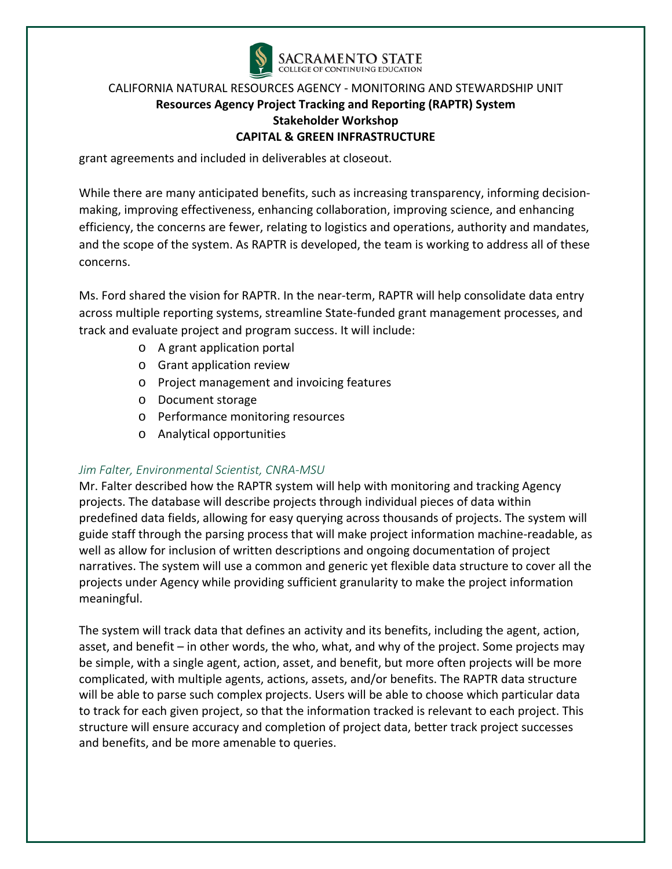

grant agreements and included in deliverables at closeout.

While there are many anticipated benefits, such as increasing transparency, informing decisionmaking, improving effectiveness, enhancing collaboration, improving science, and enhancing efficiency, the concerns are fewer, relating to logistics and operations, authority and mandates, and the scope of the system. As RAPTR is developed, the team is working to address all of these concerns.

Ms. Ford shared the vision for RAPTR. In the near-term, RAPTR will help consolidate data entry across multiple reporting systems, streamline State-funded grant management processes, and track and evaluate project and program success. It will include:

- o A grant application portal
- o Grant application review
- o Project management and invoicing features
- o Document storage
- o Performance monitoring resources
- o Analytical opportunities

#### *Jim Falter, Environmental Scientist, CNRA-MSU*

Mr. Falter described how the RAPTR system will help with monitoring and tracking Agency projects. The database will describe projects through individual pieces of data within predefined data fields, allowing for easy querying across thousands of projects. The system will guide staff through the parsing process that will make project information machine-readable, as well as allow for inclusion of written descriptions and ongoing documentation of project narratives. The system will use a common and generic yet flexible data structure to cover all the projects under Agency while providing sufficient granularity to make the project information meaningful.

The system will track data that defines an activity and its benefits, including the agent, action, asset, and benefit – in other words, the who, what, and why of the project. Some projects may be simple, with a single agent, action, asset, and benefit, but more often projects will be more complicated, with multiple agents, actions, assets, and/or benefits. The RAPTR data structure will be able to parse such complex projects. Users will be able to choose which particular data to track for each given project, so that the information tracked is relevant to each project. This structure will ensure accuracy and completion of project data, better track project successes and benefits, and be more amenable to queries.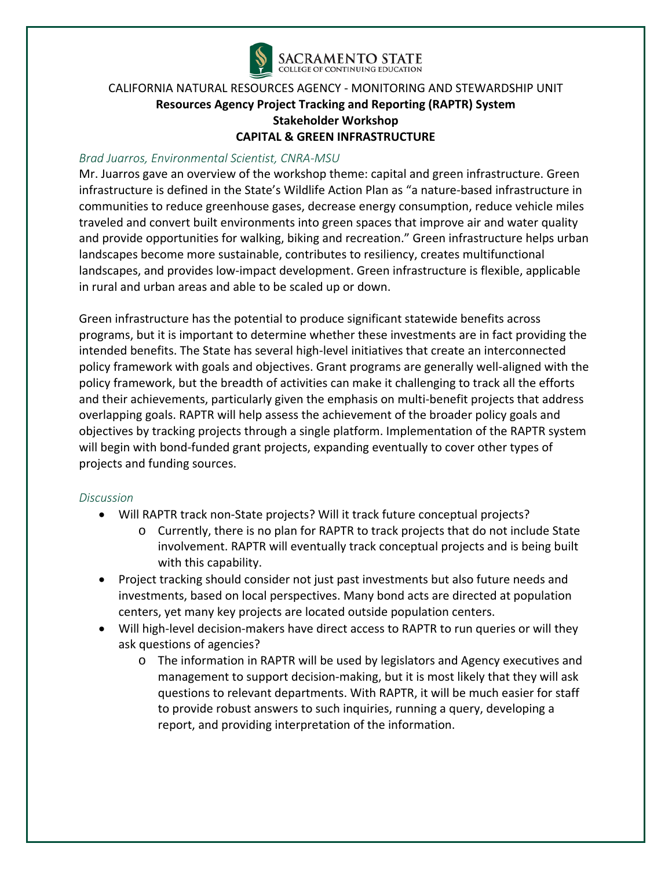

#### *Brad Juarros, Environmental Scientist, CNRA-MSU*

Mr. Juarros gave an overview of the workshop theme: capital and green infrastructure. Green infrastructure is defined in the State's Wildlife Action Plan as "a nature-based infrastructure in communities to reduce greenhouse gases, decrease energy consumption, reduce vehicle miles traveled and convert built environments into green spaces that improve air and water quality and provide opportunities for walking, biking and recreation." Green infrastructure helps urban landscapes become more sustainable, contributes to resiliency, creates multifunctional landscapes, and provides low-impact development. Green infrastructure is flexible, applicable in rural and urban areas and able to be scaled up or down.

Green infrastructure has the potential to produce significant statewide benefits across programs, but it is important to determine whether these investments are in fact providing the intended benefits. The State has several high-level initiatives that create an interconnected policy framework with goals and objectives. Grant programs are generally well-aligned with the policy framework, but the breadth of activities can make it challenging to track all the efforts and their achievements, particularly given the emphasis on multi-benefit projects that address overlapping goals. RAPTR will help assess the achievement of the broader policy goals and objectives by tracking projects through a single platform. Implementation of the RAPTR system will begin with bond-funded grant projects, expanding eventually to cover other types of projects and funding sources.

#### *Discussion*

- Will RAPTR track non-State projects? Will it track future conceptual projects?
	- o Currently, there is no plan for RAPTR to track projects that do not include State involvement. RAPTR will eventually track conceptual projects and is being built with this capability.
- Project tracking should consider not just past investments but also future needs and investments, based on local perspectives. Many bond acts are directed at population centers, yet many key projects are located outside population centers.
- Will high-level decision-makers have direct access to RAPTR to run queries or will they ask questions of agencies?
	- o The information in RAPTR will be used by legislators and Agency executives and management to support decision-making, but it is most likely that they will ask questions to relevant departments. With RAPTR, it will be much easier for staff to provide robust answers to such inquiries, running a query, developing a report, and providing interpretation of the information.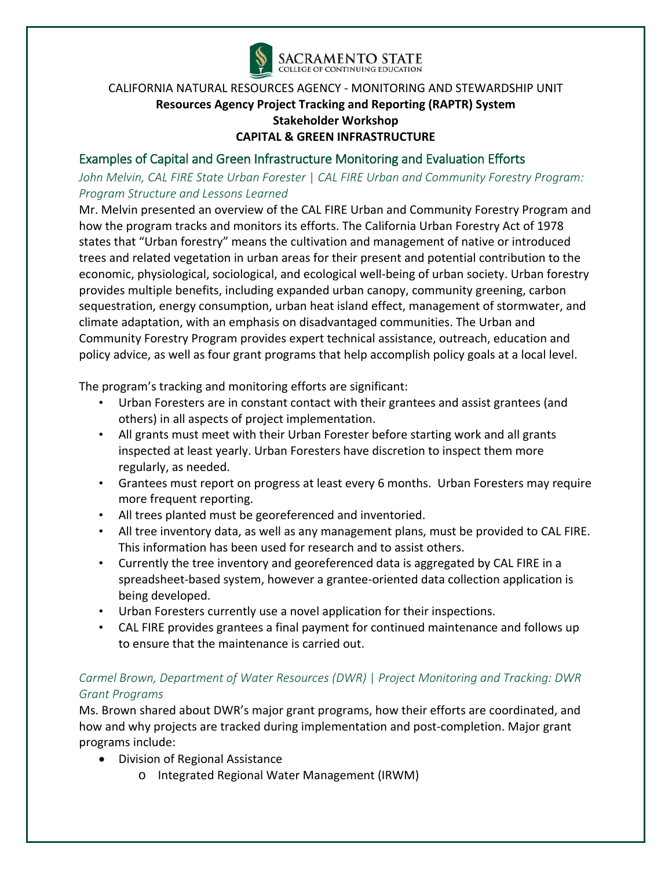

## Examples of Capital and Green Infrastructure Monitoring and Evaluation Efforts

*John Melvin, CAL FIRE State Urban Forester* | *CAL FIRE Urban and Community Forestry Program:  Program Structure and Lessons Learned*

Mr. Melvin presented an overview of the CAL FIRE Urban and Community Forestry Program and how the program tracks and monitors its efforts. The California Urban Forestry Act of 1978 states that "Urban forestry" means the cultivation and management of native or introduced trees and related vegetation in urban areas for their present and potential contribution to the economic, physiological, sociological, and ecological well-being of urban society. Urban forestry provides multiple benefits, including expanded urban canopy, community greening, carbon sequestration, energy consumption, urban heat island effect, management of stormwater, and climate adaptation, with an emphasis on disadvantaged communities. The Urban and Community Forestry Program provides expert technical assistance, outreach, education and policy advice, as well as four grant programs that help accomplish policy goals at a local level.

The program's tracking and monitoring efforts are significant:

- Urban Foresters are in constant contact with their grantees and assist grantees (and others) in all aspects of project implementation.
- All grants must meet with their Urban Forester before starting work and all grants inspected at least yearly. Urban Foresters have discretion to inspect them more regularly, as needed.
- Grantees must report on progress at least every 6 months. Urban Foresters may require more frequent reporting.
- All trees planted must be georeferenced and inventoried.
- All tree inventory data, as well as any management plans, must be provided to CAL FIRE. This information has been used for research and to assist others.
- Currently the tree inventory and georeferenced data is aggregated by CAL FIRE in a spreadsheet-based system, however a grantee-oriented data collection application is being developed.
- Urban Foresters currently use a novel application for their inspections.
- CAL FIRE provides grantees a final payment for continued maintenance and follows up to ensure that the maintenance is carried out.

# *Carmel Brown, Department of Water Resources (DWR)* | *Project Monitoring and Tracking: DWR Grant Programs*

Ms. Brown shared about DWR's major grant programs, how their efforts are coordinated, and how and why projects are tracked during implementation and post-completion. Major grant programs include:

- Division of Regional Assistance
	- o Integrated Regional Water Management (IRWM)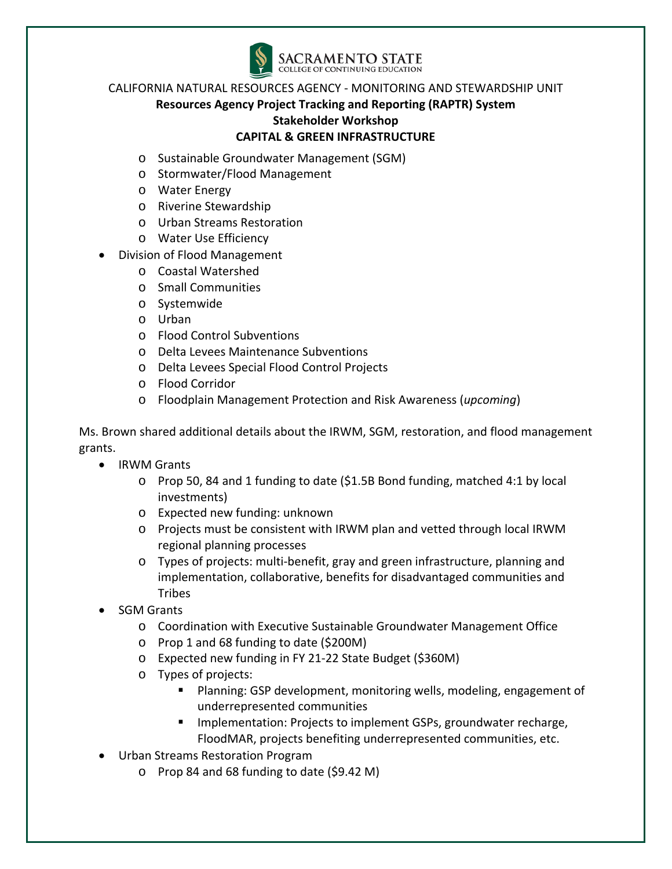

- o Sustainable Groundwater Management (SGM)
- o Stormwater/Flood Management
- o Water Energy
- o Riverine Stewardship
- o Urban Streams Restoration
- o Water Use Efficiency
- Division of Flood Management
	- o Coastal Watershed
	- o Small Communities
	- o Systemwide
	- o Urban
	- o Flood Control Subventions
	- o Delta Levees Maintenance Subventions
	- o Delta Levees Special Flood Control Projects
	- o Flood Corridor
	- o Floodplain Management Protection and Risk Awareness (*upcoming*)

Ms. Brown shared additional details about the IRWM, SGM, restoration, and flood management grants.

- IRWM Grants
	- o Prop 50, 84 and 1 funding to date (\$1.5B Bond funding, matched 4:1 by local investments)
	- o Expected new funding: unknown
	- o Projects must be consistent with IRWM plan and vetted through local IRWM regional planning processes
	- o Types of projects: multi-benefit, gray and green infrastructure, planning and implementation, collaborative, benefits for disadvantaged communities and **Tribes**
- SGM Grants
	- o Coordination with Executive Sustainable Groundwater Management Office
	- o Prop 1 and 68 funding to date (\$200M)
	- o Expected new funding in FY 21-22 State Budget (\$360M)
	- o Types of projects:
		- **Planning: GSP development, monitoring wells, modeling, engagement of** underrepresented communities
		- Implementation: Projects to implement GSPs, groundwater recharge, FloodMAR, projects benefiting underrepresented communities, etc.
- Urban Streams Restoration Program
	- o Prop 84 and 68 funding to date (\$9.42 M)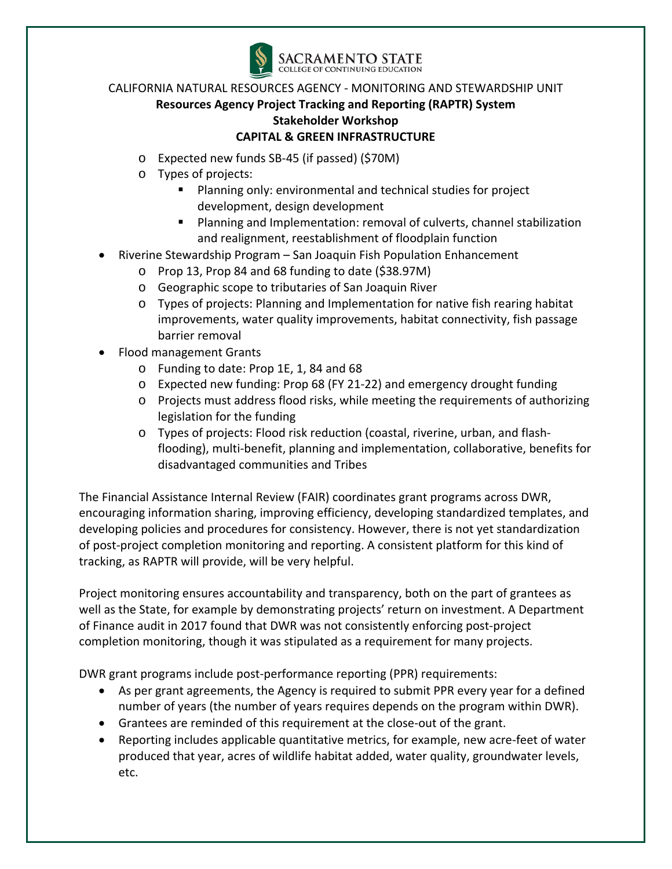

- o Expected new funds SB-45 (if passed) (\$70M)
- o Types of projects:
	- Planning only: environmental and technical studies for project development, design development
	- Planning and Implementation: removal of culverts, channel stabilization and realignment, reestablishment of floodplain function
- Riverine Stewardship Program San Joaquin Fish Population Enhancement
	- o Prop 13, Prop 84 and 68 funding to date (\$38.97M)
	- o Geographic scope to tributaries of San Joaquin River
	- o Types of projects: Planning and Implementation for native fish rearing habitat improvements, water quality improvements, habitat connectivity, fish passage barrier removal
- Flood management Grants
	- o Funding to date: Prop 1E, 1, 84 and 68
	- o Expected new funding: Prop 68 (FY 21-22) and emergency drought funding
	- o Projects must address flood risks, while meeting the requirements of authorizing legislation for the funding
	- o Types of projects: Flood risk reduction (coastal, riverine, urban, and flashflooding), multi-benefit, planning and implementation, collaborative, benefits for disadvantaged communities and Tribes

The Financial Assistance Internal Review (FAIR) coordinates grant programs across DWR, encouraging information sharing, improving efficiency, developing standardized templates, and developing policies and procedures for consistency. However, there is not yet standardization of post-project completion monitoring and reporting. A consistent platform for this kind of tracking, as RAPTR will provide, will be very helpful.

Project monitoring ensures accountability and transparency, both on the part of grantees as well as the State, for example by demonstrating projects' return on investment. A Department of Finance audit in 2017 found that DWR was not consistently enforcing post-project completion monitoring, though it was stipulated as a requirement for many projects.

DWR grant programs include post-performance reporting (PPR) requirements:

- As per grant agreements, the Agency is required to submit PPR every year for a defined number of years (the number of years requires depends on the program within DWR).
- Grantees are reminded of this requirement at the close-out of the grant.
- Reporting includes applicable quantitative metrics, for example, new acre-feet of water produced that year, acres of wildlife habitat added, water quality, groundwater levels, etc.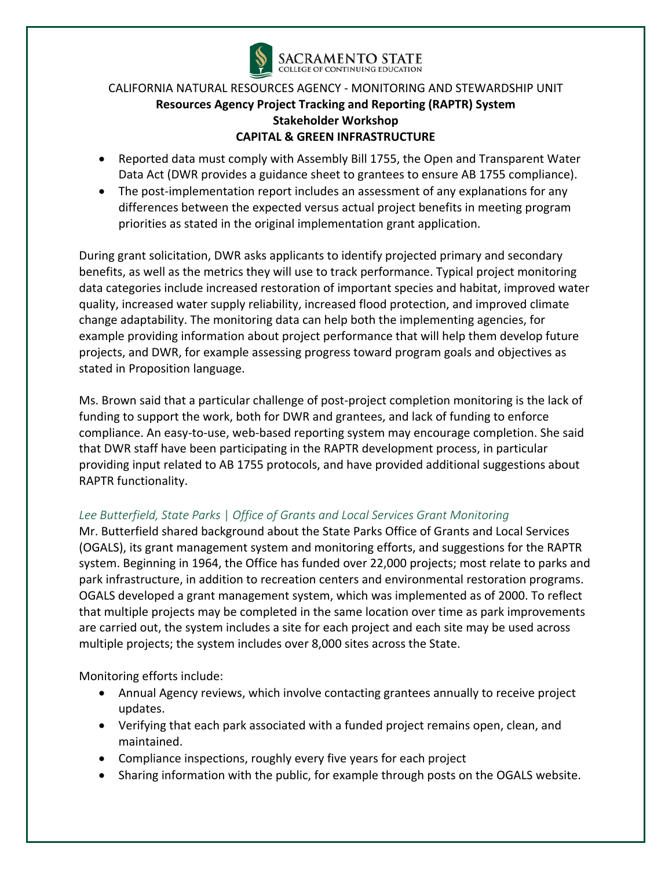

- Reported data must comply with Assembly Bill 1755, the Open and Transparent Water Data Act (DWR provides a guidance sheet to grantees to ensure AB 1755 compliance).
- The post-implementation report includes an assessment of any explanations for any differences between the expected versus actual project benefits in meeting program priorities as stated in the original implementation grant application.

During grant solicitation, DWR asks applicants to identify projected primary and secondary benefits, as well as the metrics they will use to track performance. Typical project monitoring data categories include increased restoration of important species and habitat, improved water quality, increased water supply reliability, increased flood protection, and improved climate change adaptability. The monitoring data can help both the implementing agencies, for example providing information about project performance that will help them develop future projects, and DWR, for example assessing progress toward program goals and objectives as stated in Proposition language.

Ms. Brown said that a particular challenge of post-project completion monitoring is the lack of funding to support the work, both for DWR and grantees, and lack of funding to enforce compliance. An easy-to-use, web-based reporting system may encourage completion. She said that DWR staff have been participating in the RAPTR development process, in particular providing input related to AB 1755 protocols, and have provided additional suggestions about RAPTR functionality.

# *Lee Butterfield, State Parks* | *Office of Grants and Local Services Grant Monitoring*

Mr. Butterfield shared background about the State Parks Office of Grants and Local Services (OGALS), its grant management system and monitoring efforts, and suggestions for the RAPTR system. Beginning in 1964, the Office has funded over 22,000 projects; most relate to parks and park infrastructure, in addition to recreation centers and environmental restoration programs. OGALS developed a grant management system, which was implemented as of 2000. To reflect that multiple projects may be completed in the same location over time as park improvements are carried out, the system includes a site for each project and each site may be used across multiple projects; the system includes over 8,000 sites across the State.

Monitoring efforts include:

- Annual Agency reviews, which involve contacting grantees annually to receive project updates.
- Verifying that each park associated with a funded project remains open, clean, and maintained.
- Compliance inspections, roughly every five years for each project
- Sharing information with the public, for example through posts on the OGALS website.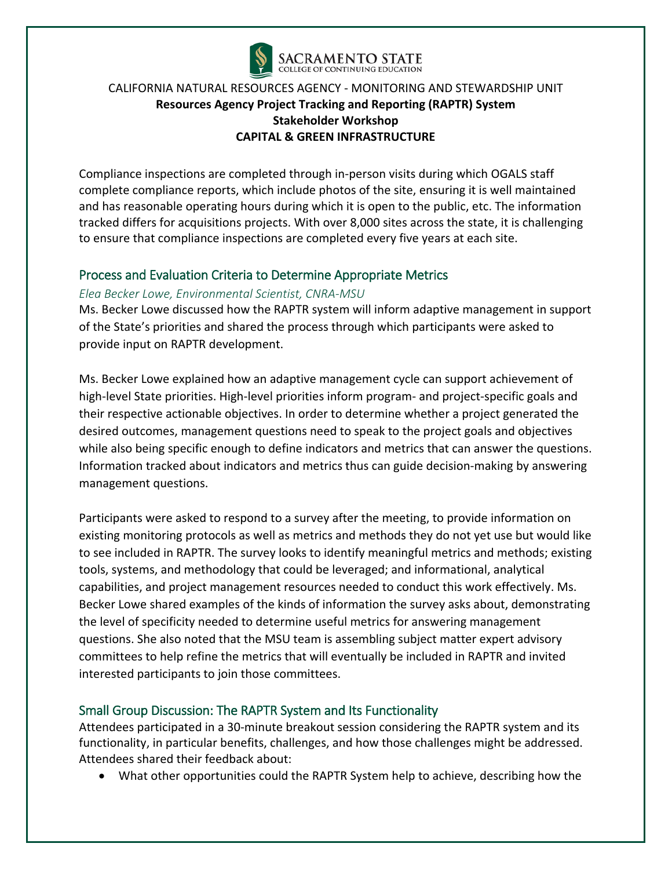

Compliance inspections are completed through in-person visits during which OGALS staff complete compliance reports, which include photos of the site, ensuring it is well maintained and has reasonable operating hours during which it is open to the public, etc. The information tracked differs for acquisitions projects. With over 8,000 sites across the state, it is challenging to ensure that compliance inspections are completed every five years at each site.

#### Process and Evaluation Criteria to Determine Appropriate Metrics

#### *Elea Becker Lowe, Environmental Scientist, CNRA-MSU*

Ms. Becker Lowe discussed how the RAPTR system will inform adaptive management in support of the State's priorities and shared the process through which participants were asked to provide input on RAPTR development.

Ms. Becker Lowe explained how an adaptive management cycle can support achievement of high-level State priorities. High-level priorities inform program- and project-specific goals and their respective actionable objectives. In order to determine whether a project generated the desired outcomes, management questions need to speak to the project goals and objectives while also being specific enough to define indicators and metrics that can answer the questions. Information tracked about indicators and metrics thus can guide decision-making by answering management questions.

Participants were asked to respond to a survey after the meeting, to provide information on existing monitoring protocols as well as metrics and methods they do not yet use but would like to see included in RAPTR. The survey looks to identify meaningful metrics and methods; existing tools, systems, and methodology that could be leveraged; and informational, analytical capabilities, and project management resources needed to conduct this work effectively. Ms. Becker Lowe shared examples of the kinds of information the survey asks about, demonstrating the level of specificity needed to determine useful metrics for answering management questions. She also noted that the MSU team is assembling subject matter expert advisory committees to help refine the metrics that will eventually be included in RAPTR and invited interested participants to join those committees.

## Small Group Discussion: The RAPTR System and Its Functionality

Attendees participated in a 30-minute breakout session considering the RAPTR system and its functionality, in particular benefits, challenges, and how those challenges might be addressed. Attendees shared their feedback about:

• What other opportunities could the RAPTR System help to achieve, describing how the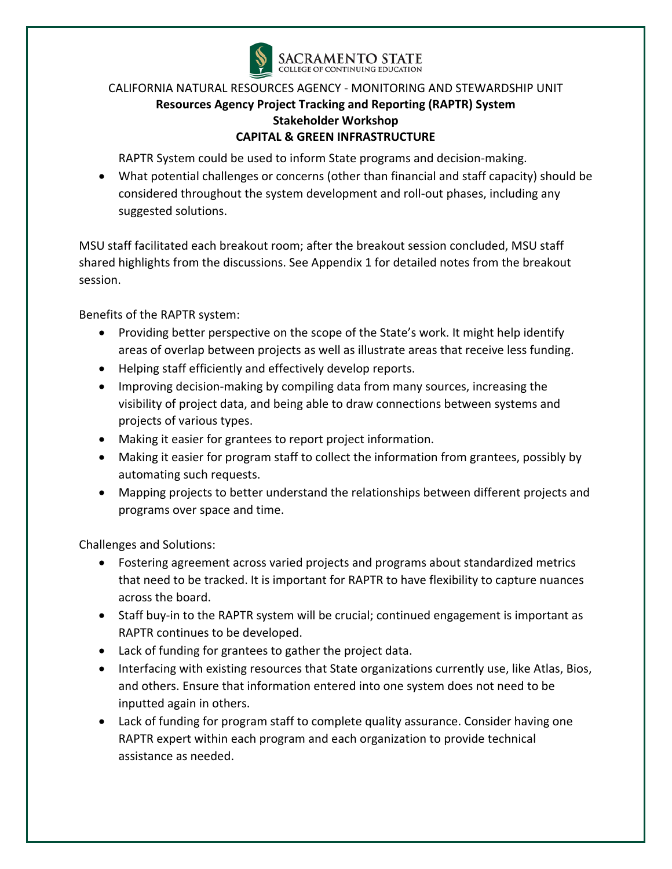

RAPTR System could be used to inform State programs and decision-making.

• What potential challenges or concerns (other than financial and staff capacity) should be considered throughout the system development and roll-out phases, including any suggested solutions.

MSU staff facilitated each breakout room; after the breakout session concluded, MSU staff shared highlights from the discussions. See Appendix 1 for detailed notes from the breakout session.

Benefits of the RAPTR system:

- Providing better perspective on the scope of the State's work. It might help identify areas of overlap between projects as well as illustrate areas that receive less funding.
- Helping staff efficiently and effectively develop reports.
- Improving decision-making by compiling data from many sources, increasing the visibility of project data, and being able to draw connections between systems and projects of various types.
- Making it easier for grantees to report project information.
- Making it easier for program staff to collect the information from grantees, possibly by automating such requests.
- Mapping projects to better understand the relationships between different projects and programs over space and time.

Challenges and Solutions:

- Fostering agreement across varied projects and programs about standardized metrics that need to be tracked. It is important for RAPTR to have flexibility to capture nuances across the board.
- Staff buy-in to the RAPTR system will be crucial; continued engagement is important as RAPTR continues to be developed.
- Lack of funding for grantees to gather the project data.
- Interfacing with existing resources that State organizations currently use, like Atlas, Bios, and others. Ensure that information entered into one system does not need to be inputted again in others.
- Lack of funding for program staff to complete quality assurance. Consider having one RAPTR expert within each program and each organization to provide technical assistance as needed.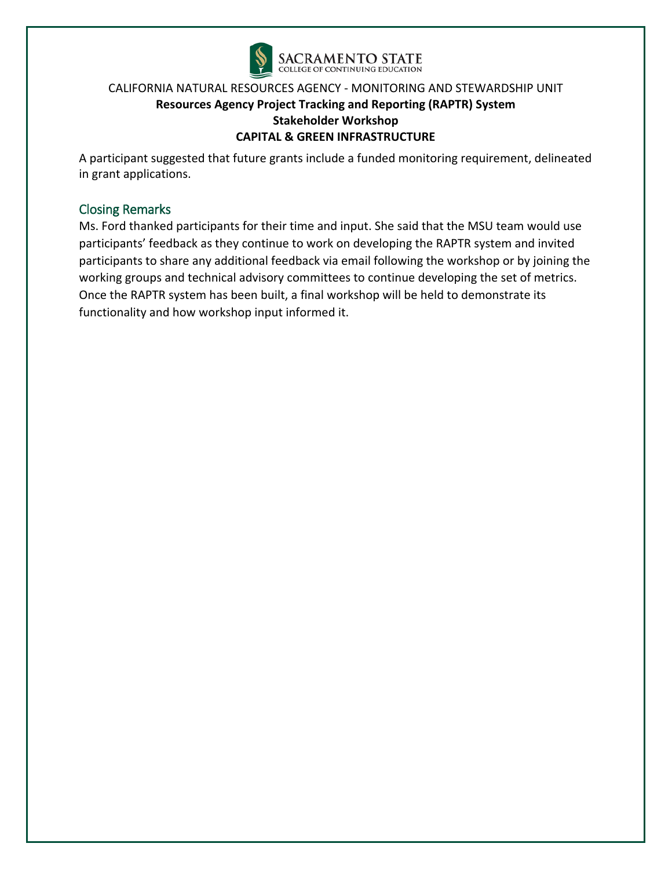

A participant suggested that future grants include a funded monitoring requirement, delineated in grant applications.

# Closing Remarks

Ms. Ford thanked participants for their time and input. She said that the MSU team would use participants' feedback as they continue to work on developing the RAPTR system and invited participants to share any additional feedback via email following the workshop or by joining the working groups and technical advisory committees to continue developing the set of metrics. Once the RAPTR system has been built, a final workshop will be held to demonstrate its functionality and how workshop input informed it.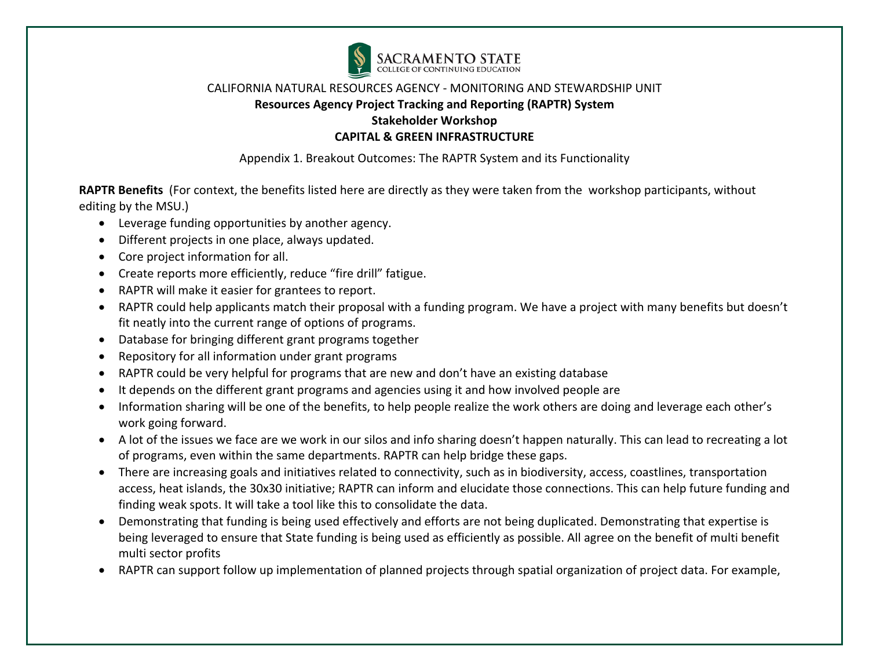

Appendix 1. Breakout Outcomes: The RAPTR System and its Functionality

**RAPTR Benefits** (For context, the benefits listed here are directly as they were taken from the workshop participants, without editing by the MSU.)

- Leverage funding opportunities by another agency.
- Different projects in one place, always updated.
- Core project information for all.
- Create reports more efficiently, reduce "fire drill" fatigue.
- RAPTR will make it easier for grantees to report.
- RAPTR could help applicants match their proposal with a funding program. We have a project with many benefits but doesn't fit neatly into the current range of options of programs.
- Database for bringing different grant programs together
- Repository for all information under grant programs
- RAPTR could be very helpful for programs that are new and don't have an existing database
- It depends on the different grant programs and agencies using it and how involved people are
- Information sharing will be one of the benefits, to help people realize the work others are doing and leverage each other's work going forward.
- A lot of the issues we face are we work in our silos and info sharing doesn't happen naturally. This can lead to recreating a lot of programs, even within the same departments. RAPTR can help bridge these gaps.
- There are increasing goals and initiatives related to connectivity, such as in biodiversity, access, coastlines, transportation access, heat islands, the 30x30 initiative; RAPTR can inform and elucidate those connections. This can help future funding and finding weak spots. It will take a tool like this to consolidate the data.
- Demonstrating that funding is being used effectively and efforts are not being duplicated. Demonstrating that expertise is being leveraged to ensure that State funding is being used as efficiently as possible. All agree on the benefit of multi benefit multi sector profits
- RAPTR can support follow up implementation of planned projects through spatial organization of project data. For example,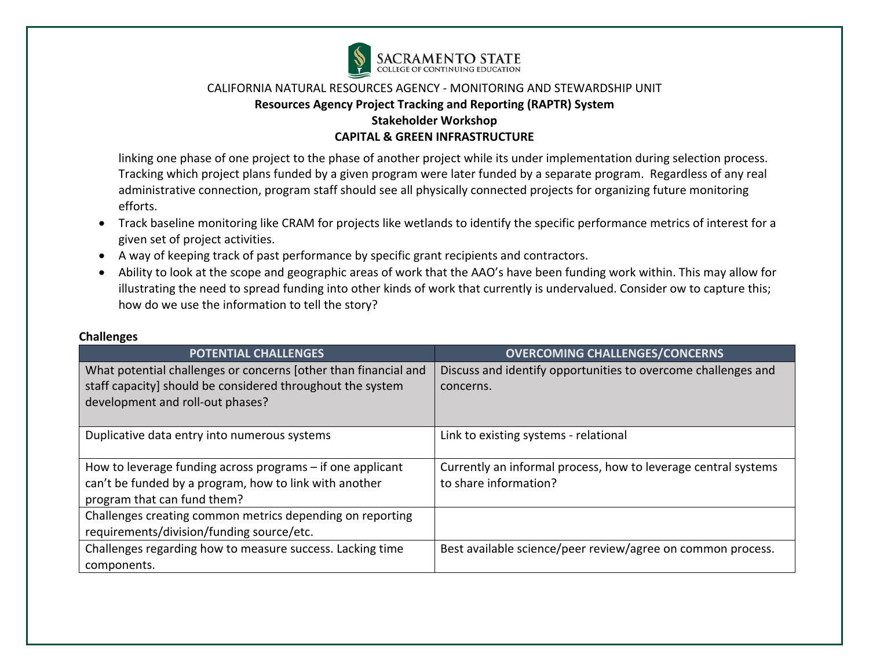

linking one phase of one project to the phase of another project while its under implementation during selection process. Tracking which project plans funded by a given program were later funded by a separate program. Regardless of any real administrative connection, program staff should see all physically connected projects for organizing future monitoring efforts.

- Track baseline monitoring like CRAM for projects like wetlands to identify the specific performance metrics of interest for a given set of project activities.
- A way of keeping track of past performance by specific grant recipients and contractors.
- Ability to look at the scope and geographic areas of work that the AAO's have been funding work within. This may allow for illustrating the need to spread funding into other kinds of work that currently is undervalued. Consider ow to capture this; how do we use the information to tell the story?

| <b>POTENTIAL CHALLENGES</b>                                     | <b>OVERCOMING CHALLENGES/CONCERNS</b>                          |
|-----------------------------------------------------------------|----------------------------------------------------------------|
| What potential challenges or concerns (other than financial and | Discuss and identify opportunities to overcome challenges and  |
| staff capacity] should be considered throughout the system      | concerns.                                                      |
| development and roll-out phases?                                |                                                                |
| Duplicative data entry into numerous systems                    | Link to existing systems - relational                          |
| How to leverage funding across programs - if one applicant      | Currently an informal process, how to leverage central systems |
| can't be funded by a program, how to link with another          | to share information?                                          |
| program that can fund them?                                     |                                                                |
| Challenges creating common metrics depending on reporting       |                                                                |
| requirements/division/funding source/etc.                       |                                                                |
| Challenges regarding how to measure success. Lacking time       | Best available science/peer review/agree on common process.    |
| components.                                                     |                                                                |

#### **Challenges**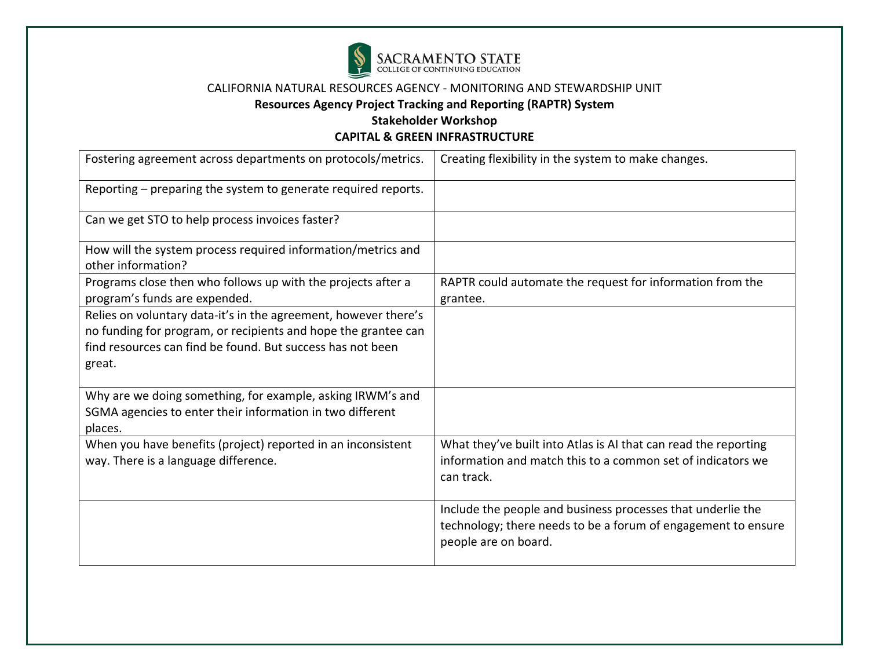

# **Resources Agency Project Tracking and Reporting (RAPTR) System**

**Stakeholder Workshop** 

| Fostering agreement across departments on protocols/metrics.                                                                                                                                              | Creating flexibility in the system to make changes.                                                                                                  |
|-----------------------------------------------------------------------------------------------------------------------------------------------------------------------------------------------------------|------------------------------------------------------------------------------------------------------------------------------------------------------|
| Reporting – preparing the system to generate required reports.                                                                                                                                            |                                                                                                                                                      |
| Can we get STO to help process invoices faster?                                                                                                                                                           |                                                                                                                                                      |
| How will the system process required information/metrics and<br>other information?                                                                                                                        |                                                                                                                                                      |
| Programs close then who follows up with the projects after a<br>program's funds are expended.                                                                                                             | RAPTR could automate the request for information from the<br>grantee.                                                                                |
| Relies on voluntary data-it's in the agreement, however there's<br>no funding for program, or recipients and hope the grantee can<br>find resources can find be found. But success has not been<br>great. |                                                                                                                                                      |
| Why are we doing something, for example, asking IRWM's and<br>SGMA agencies to enter their information in two different<br>places.                                                                        |                                                                                                                                                      |
| When you have benefits (project) reported in an inconsistent<br>way. There is a language difference.                                                                                                      | What they've built into Atlas is AI that can read the reporting<br>information and match this to a common set of indicators we<br>can track.         |
|                                                                                                                                                                                                           | Include the people and business processes that underlie the<br>technology; there needs to be a forum of engagement to ensure<br>people are on board. |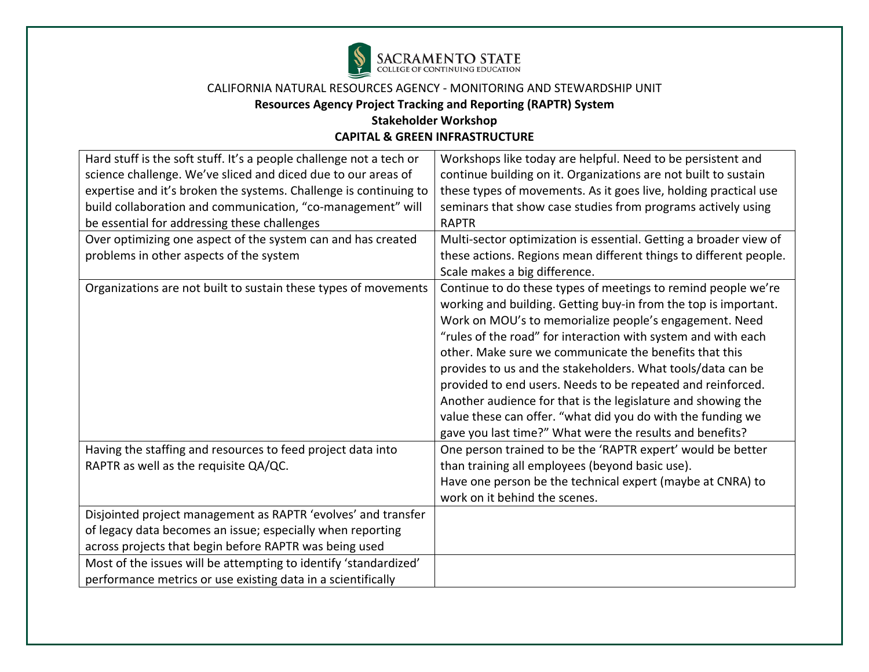

# **Resources Agency Project Tracking and Reporting (RAPTR) System**

# **Stakeholder Workshop**

| Hard stuff is the soft stuff. It's a people challenge not a tech or | Workshops like today are helpful. Need to be persistent and       |
|---------------------------------------------------------------------|-------------------------------------------------------------------|
| science challenge. We've sliced and diced due to our areas of       | continue building on it. Organizations are not built to sustain   |
| expertise and it's broken the systems. Challenge is continuing to   | these types of movements. As it goes live, holding practical use  |
| build collaboration and communication, "co-management" will         | seminars that show case studies from programs actively using      |
| be essential for addressing these challenges                        | <b>RAPTR</b>                                                      |
| Over optimizing one aspect of the system can and has created        | Multi-sector optimization is essential. Getting a broader view of |
| problems in other aspects of the system                             | these actions. Regions mean different things to different people. |
|                                                                     | Scale makes a big difference.                                     |
| Organizations are not built to sustain these types of movements     | Continue to do these types of meetings to remind people we're     |
|                                                                     | working and building. Getting buy-in from the top is important.   |
|                                                                     | Work on MOU's to memorialize people's engagement. Need            |
|                                                                     | "rules of the road" for interaction with system and with each     |
|                                                                     | other. Make sure we communicate the benefits that this            |
|                                                                     | provides to us and the stakeholders. What tools/data can be       |
|                                                                     | provided to end users. Needs to be repeated and reinforced.       |
|                                                                     | Another audience for that is the legislature and showing the      |
|                                                                     | value these can offer. "what did you do with the funding we       |
|                                                                     | gave you last time?" What were the results and benefits?          |
| Having the staffing and resources to feed project data into         | One person trained to be the 'RAPTR expert' would be better       |
| RAPTR as well as the requisite QA/QC.                               | than training all employees (beyond basic use).                   |
|                                                                     | Have one person be the technical expert (maybe at CNRA) to        |
|                                                                     | work on it behind the scenes.                                     |
| Disjointed project management as RAPTR 'evolves' and transfer       |                                                                   |
| of legacy data becomes an issue; especially when reporting          |                                                                   |
| across projects that begin before RAPTR was being used              |                                                                   |
| Most of the issues will be attempting to identify 'standardized'    |                                                                   |
| performance metrics or use existing data in a scientifically        |                                                                   |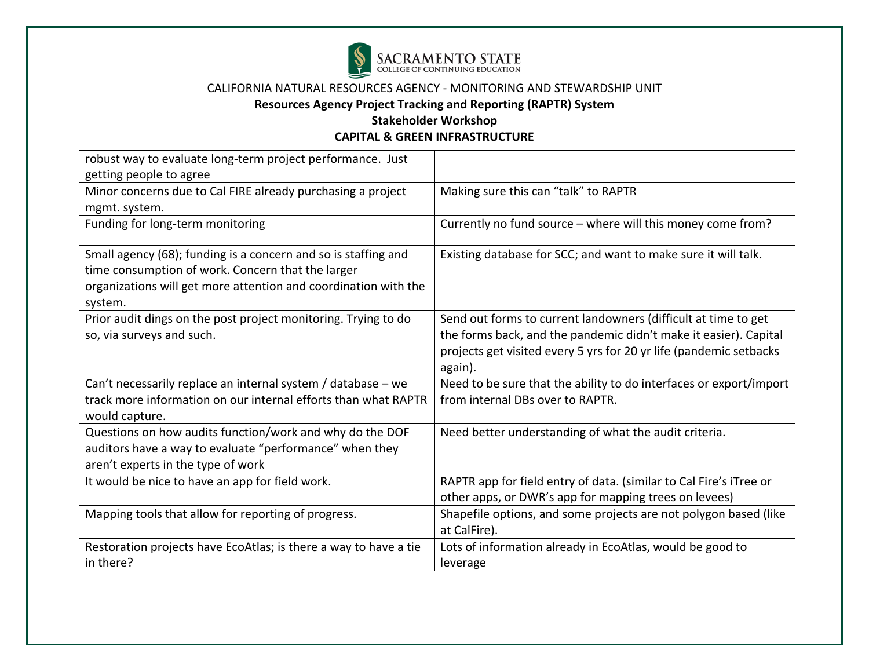

# **Resources Agency Project Tracking and Reporting (RAPTR) System**

# **Stakeholder Workshop**

| robust way to evaluate long-term project performance. Just       |                                                                    |
|------------------------------------------------------------------|--------------------------------------------------------------------|
| getting people to agree                                          |                                                                    |
| Minor concerns due to Cal FIRE already purchasing a project      | Making sure this can "talk" to RAPTR                               |
| mgmt. system.                                                    |                                                                    |
| Funding for long-term monitoring                                 | Currently no fund source - where will this money come from?        |
| Small agency (68); funding is a concern and so is staffing and   | Existing database for SCC; and want to make sure it will talk.     |
| time consumption of work. Concern that the larger                |                                                                    |
| organizations will get more attention and coordination with the  |                                                                    |
| system.                                                          |                                                                    |
| Prior audit dings on the post project monitoring. Trying to do   | Send out forms to current landowners (difficult at time to get     |
| so, via surveys and such.                                        | the forms back, and the pandemic didn't make it easier). Capital   |
|                                                                  | projects get visited every 5 yrs for 20 yr life (pandemic setbacks |
|                                                                  | again).                                                            |
| Can't necessarily replace an internal system / database - we     | Need to be sure that the ability to do interfaces or export/import |
| track more information on our internal efforts than what RAPTR   | from internal DBs over to RAPTR.                                   |
| would capture.                                                   |                                                                    |
| Questions on how audits function/work and why do the DOF         | Need better understanding of what the audit criteria.              |
| auditors have a way to evaluate "performance" when they          |                                                                    |
| aren't experts in the type of work                               |                                                                    |
| It would be nice to have an app for field work.                  | RAPTR app for field entry of data. (similar to Cal Fire's iTree or |
|                                                                  | other apps, or DWR's app for mapping trees on levees)              |
| Mapping tools that allow for reporting of progress.              | Shapefile options, and some projects are not polygon based (like   |
|                                                                  | at CalFire).                                                       |
| Restoration projects have EcoAtlas; is there a way to have a tie | Lots of information already in EcoAtlas, would be good to          |
| in there?                                                        | leverage                                                           |